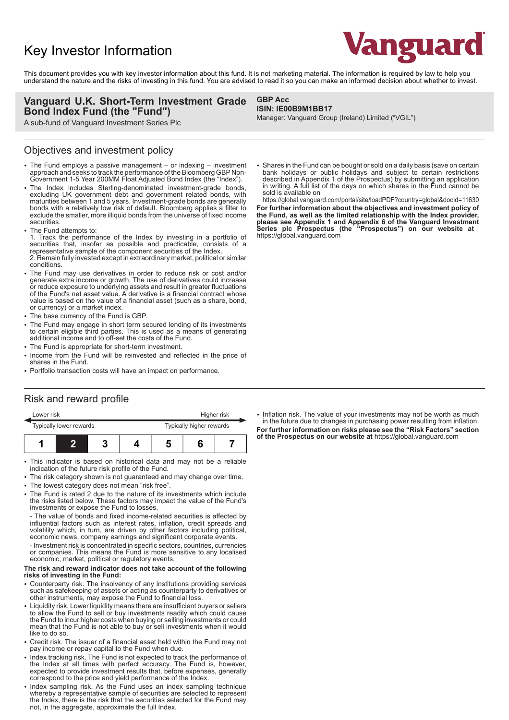# Key Investor Information



This document provides you with key investor information about this fund. It is not marketing material. The information is required by law to help you understand the nature and the risks of investing in this fund. You are advised to read it so you can make an informed decision about whether to invest.

#### **Vanguard U.K. Short-Term Investment Grade Bond Index Fund (the "Fund")**

A sub-fund of Vanguard Investment Series Plc

### Objectives and investment policy

- The Fund employs a passive management or indexing investment approach and seeks to track the performance of the Bloomberg GBP Non-Government 1-5 Year 200MM Float Adjusted Bond Index (the "Index").
- The Index includes Sterling-denominated investment-grade bonds, excluding UK government debt and government related bonds, with maturities between 1 and 5 years. Investment-grade bonds are generally bonds with a relatively low risk of default. Bloomberg applies a filter to exclude the smaller, more illiquid bonds from the universe of fixed income securities.
- The Fund attempts to:

1. Track the performance of the Index by investing in a portfolio of securities that, insofar as possible and practicable, consists of a representative sample of the component securities of the Index. 2. Remain fully invested except in extraordinary market, political or similar conditions.

- The Fund may use derivatives in order to reduce risk or cost and/or generate extra income or growth. The use of derivatives could increase or reduce exposure to underlying assets and result in greater fluctuations of the Fund's net asset value. A derivative is a financial contract whose value is based on the value of a financial asset (such as a share, bond, or currency) or a market index.
- The base currency of the Fund is GBP.
- The Fund may engage in short term secured lending of its investments to certain eligible third parties. This is used as a means of generating additional income and to off-set the costs of the Fund.
- The Fund is appropriate for short-term investment.
- 2 Income from the Fund will be reinvested and reflected in the price of shares in the Fund.
- Portfolio transaction costs will have an impact on performance.

#### **GBP Acc ISIN: IE00B9M1BB17**

Manager: Vanguard Group (Ireland) Limited ("VGIL")

2 Shares in the Fund can be bought or sold on a daily basis (save on certain bank holidays or public holidays and subject to certain restrictions described in Appendix 1 of the Prospectus) by submitting an application in writing. A full list of the days on which shares in the Fund cannot be sold is available on

https://global.vanguard.com/portal/site/loadPDF?country=global&docId=11630

**For further information about the objectives and investment policy of the Fund, as well as the limited relationship with the Index provider, please see Appendix 1 and Appendix 6 of the Vanguard Investment Series plc Prospectus (the "Prospectus") on our website at**  https://global.vanguard.com

### Risk and reward profile

| Lower risk              |  |  |  | Higher risk              |  |  |
|-------------------------|--|--|--|--------------------------|--|--|
| Typically lower rewards |  |  |  | Typically higher rewards |  |  |
|                         |  |  |  |                          |  |  |

- This indicator is based on historical data and may not be a reliable indication of the future risk profile of the Fund.
- The risk category shown is not guaranteed and may change over time.
- The lowest category does not mean "risk free".
- 2 The Fund is rated 2 due to the nature of its investments which include the risks listed below. These factors may impact the value of the Fund's investments or expose the Fund to losses.

- The value of bonds and fixed income-related securities is affected by influential factors such as interest rates, inflation, credit spreads and volatility which, in turn, are driven by other factors including political, economic news, company earnings and significant corporate events.

- Investment risk is concentrated in specific sectors, countries, currencies or companies. This means the Fund is more sensitive to any localised economic, market, political or regulatory events.

#### **The risk and reward indicator does not take account of the following risks of investing in the Fund:**

- Counterparty risk. The insolvency of any institutions providing services such as safekeeping of assets or acting as counterparty to derivatives or other instruments, may expose the Fund to financial loss.
- Liquidity risk. Lower liquidity means there are insufficient buyers or sellers to allow the Fund to sell or buy investments readily which could cause the Fund to incur higher costs when buying or selling investments or could mean that the Fund is not able to buy or sell investments when it would like to do so.
- Credit risk. The issuer of a financial asset held within the Fund may not pay income or repay capital to the Fund when due.
- Index tracking risk. The Fund is not expected to track the performance of the Index at all times with perfect accuracy. The Fund is, however, expected to provide investment results that, before expenses, generally correspond to the price and yield performance of the Index.
- 2 Index sampling risk. As the Fund uses an index sampling technique whereby a representative sample of securities are selected to represent the Index, there is the risk that the securities selected for the Fund may not, in the aggregate, approximate the full Index.

• Inflation risk. The value of your investments may not be worth as much in the future due to changes in purchasing power resulting from inflation. **For further information on risks please see the "Risk Factors" section of the Prospectus on our website at** https://global.vanguard.com